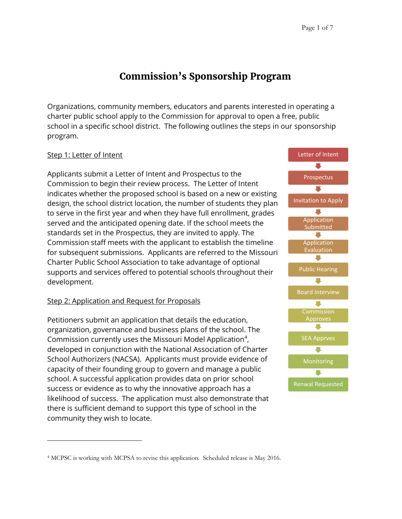# **Commission's Sponsorship Program**

Organizations, community members, educators and parents interested in operating a charter public school apply to the Commission for approval to open a free, public school in a specific school district. The following outlines the steps in our sponsorship program.

# Step 1: Letter of Intent

Applicants submit a Letter of Intent and Prospectus to the Commission to begin their review process. The Letter of Intent indicates whether the proposed school is based on a new or existing design, the school district location, the number of students they plan to serve in the first year and when they have full enrollment, grades served and the anticipated opening date. If the school meets the standards set in the Prospectus, they are invited to apply. The Commission staff meets with the applicant to establish the timeline for subsequent submissions. Applicants are referred to the Missouri Charter Public School Association to take advantage of optional supports and services offered to potential schools throughout their development.

# Step 2: Application and Request for Proposals

Petitioners submit an application that details the education, organization, governance and business plans of the school. The Commission currently uses the Missouri Model Application<sup>4</sup>, developed in conjunction with the National Association of Charter School Authorizers (NACSA). Applicants must provide evidence of capacity of their founding group to govern and manage a public school. A successful application provides data on prior school success or evidence as to why the innovative approach has a likelihood of success. The application must also demonstrate that there is sufficient demand to support this type of school in the community they wish to locate.



<sup>4</sup> MCPSC is working with MCPSA to revise this application. Scheduled release is May 2016.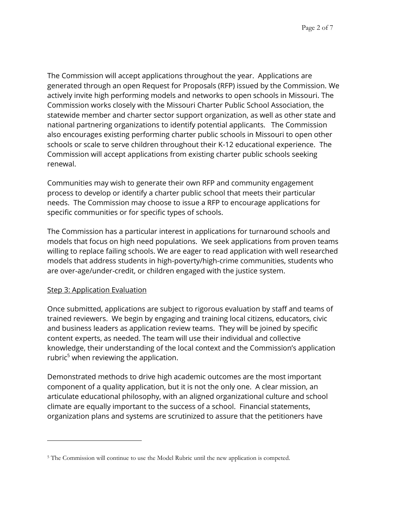The Commission will accept applications throughout the year. Applications are generated through an open Request for Proposals (RFP) issued by the Commission. We actively invite high performing models and networks to open schools in Missouri. The Commission works closely with the Missouri Charter Public School Association, the statewide member and charter sector support organization, as well as other state and national partnering organizations to identify potential applicants. The Commission also encourages existing performing charter public schools in Missouri to open other schools or scale to serve children throughout their K-12 educational experience. The Commission will accept applications from existing charter public schools seeking renewal.

Communities may wish to generate their own RFP and community engagement process to develop or identify a charter public school that meets their particular needs. The Commission may choose to issue a RFP to encourage applications for specific communities or for specific types of schools.

The Commission has a particular interest in applications for turnaround schools and models that focus on high need populations. We seek applications from proven teams willing to replace failing schools. We are eager to read application with well researched models that address students in high-poverty/high-crime communities, students who are over-age/under-credit, or children engaged with the justice system.

# Step 3: Application Evaluation

Once submitted, applications are subject to rigorous evaluation by staff and teams of trained reviewers. We begin by engaging and training local citizens, educators, civic and business leaders as application review teams. They will be joined by specific content experts, as needed. The team will use their individual and collective knowledge, their understanding of the local context and the Commission's application rubric<sup>5</sup> when reviewing the application.

Demonstrated methods to drive high academic outcomes are the most important component of a quality application, but it is not the only one. A clear mission, an articulate educational philosophy, with an aligned organizational culture and school climate are equally important to the success of a school. Financial statements, organization plans and systems are scrutinized to assure that the petitioners have

<sup>&</sup>lt;sup>5</sup> The Commission will continue to use the Model Rubric until the new application is competed.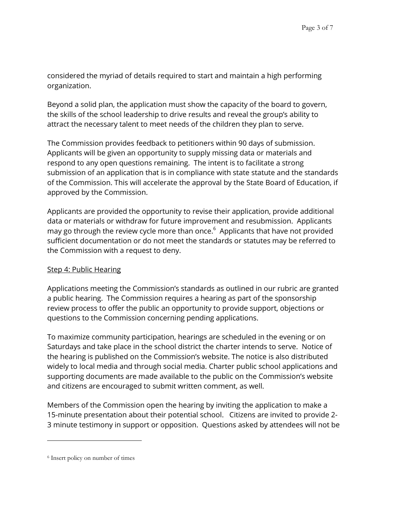considered the myriad of details required to start and maintain a high performing organization.

Beyond a solid plan, the application must show the capacity of the board to govern, the skills of the school leadership to drive results and reveal the group's ability to attract the necessary talent to meet needs of the children they plan to serve.

The Commission provides feedback to petitioners within 90 days of submission. Applicants will be given an opportunity to supply missing data or materials and respond to any open questions remaining. The intent is to facilitate a strong submission of an application that is in compliance with state statute and the standards of the Commission. This will accelerate the approval by the State Board of Education, if approved by the Commission.

Applicants are provided the opportunity to revise their application, provide additional data or materials or withdraw for future improvement and resubmission. Applicants may go through the review cycle more than once.<sup>6</sup> Applicants that have not provided sufficient documentation or do not meet the standards or statutes may be referred to the Commission with a request to deny.

# Step 4: Public Hearing

Applications meeting the Commission's standards as outlined in our rubric are granted a public hearing. The Commission requires a hearing as part of the sponsorship review process to offer the public an opportunity to provide support, objections or questions to the Commission concerning pending applications.

To maximize community participation, hearings are scheduled in the evening or on Saturdays and take place in the school district the charter intends to serve. Notice of the hearing is published on the Commission's website. The notice is also distributed widely to local media and through social media. Charter public school applications and supporting documents are made available to the public on the Commission's website and citizens are encouraged to submit written comment, as well.

Members of the Commission open the hearing by inviting the application to make a 15-minute presentation about their potential school. Citizens are invited to provide 2- 3 minute testimony in support or opposition. Questions asked by attendees will not be

<sup>6</sup> Insert policy on number of times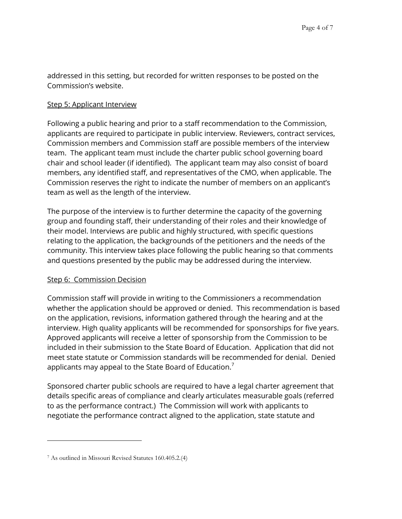addressed in this setting, but recorded for written responses to be posted on the Commission's website.

# Step 5: Applicant Interview

Following a public hearing and prior to a staff recommendation to the Commission, applicants are required to participate in public interview. Reviewers, contract services, Commission members and Commission staff are possible members of the interview team. The applicant team must include the charter public school governing board chair and school leader (if identified). The applicant team may also consist of board members, any identified staff, and representatives of the CMO, when applicable. The Commission reserves the right to indicate the number of members on an applicant's team as well as the length of the interview.

The purpose of the interview is to further determine the capacity of the governing group and founding staff, their understanding of their roles and their knowledge of their model. Interviews are public and highly structured, with specific questions relating to the application, the backgrounds of the petitioners and the needs of the community. This interview takes place following the public hearing so that comments and questions presented by the public may be addressed during the interview.

# Step 6: Commission Decision

Commission staff will provide in writing to the Commissioners a recommendation whether the application should be approved or denied. This recommendation is based on the application, revisions, information gathered through the hearing and at the interview. High quality applicants will be recommended for sponsorships for five years. Approved applicants will receive a letter of sponsorship from the Commission to be included in their submission to the State Board of Education. Application that did not meet state statute or Commission standards will be recommended for denial. Denied applicants may appeal to the State Board of Education.<sup>7</sup>

Sponsored charter public schools are required to have a legal charter agreement that details specific areas of compliance and clearly articulates measurable goals (referred to as the performance contract.) The Commission will work with applicants to negotiate the performance contract aligned to the application, state statute and

<sup>7</sup> As outlined in Missouri Revised Statutes 160.405.2.(4)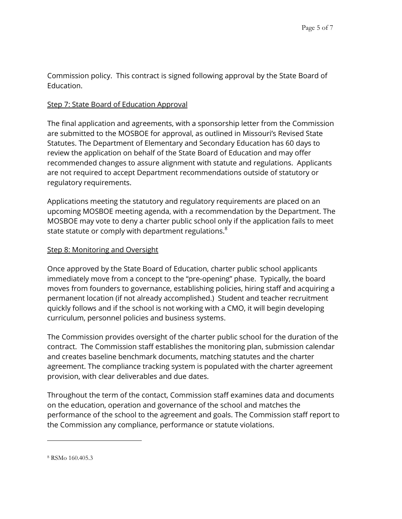Commission policy. This contract is signed following approval by the State Board of Education.

# Step 7: State Board of Education Approval

The final application and agreements, with a sponsorship letter from the Commission are submitted to the MOSBOE for approval, as outlined in Missouri's Revised State Statutes. The Department of Elementary and Secondary Education has 60 days to review the application on behalf of the State Board of Education and may offer recommended changes to assure alignment with statute and regulations. Applicants are not required to accept Department recommendations outside of statutory or regulatory requirements.

Applications meeting the statutory and regulatory requirements are placed on an upcoming MOSBOE meeting agenda, with a recommendation by the Department. The MOSBOE may vote to deny a charter public school only if the application fails to meet state statute or comply with department regulations. $^8$ 

# Step 8: Monitoring and Oversight

Once approved by the State Board of Education, charter public school applicants immediately move from a concept to the "pre-opening" phase. Typically, the board moves from founders to governance, establishing policies, hiring staff and acquiring a permanent location (if not already accomplished.) Student and teacher recruitment quickly follows and if the school is not working with a CMO, it will begin developing curriculum, personnel policies and business systems.

The Commission provides oversight of the charter public school for the duration of the contract. The Commission staff establishes the monitoring plan, submission calendar and creates baseline benchmark documents, matching statutes and the charter agreement. The compliance tracking system is populated with the charter agreement provision, with clear deliverables and due dates.

Throughout the term of the contact, Commission staff examines data and documents on the education, operation and governance of the school and matches the performance of the school to the agreement and goals. The Commission staff report to the Commission any compliance, performance or statute violations.

<sup>8</sup> RSMo 160.405.3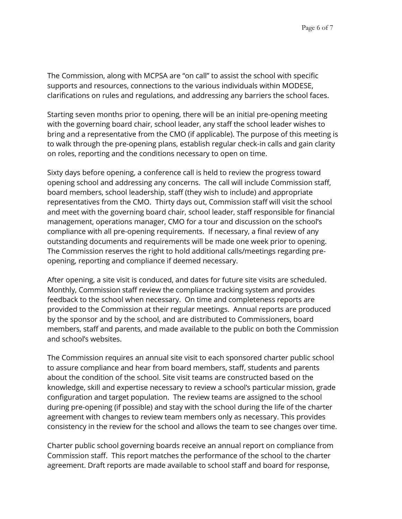The Commission, along with MCPSA are "on call" to assist the school with specific supports and resources, connections to the various individuals within MODESE, clarifications on rules and regulations, and addressing any barriers the school faces.

Starting seven months prior to opening, there will be an initial pre-opening meeting with the governing board chair, school leader, any staff the school leader wishes to bring and a representative from the CMO (if applicable). The purpose of this meeting is to walk through the pre-opening plans, establish regular check-in calls and gain clarity on roles, reporting and the conditions necessary to open on time.

Sixty days before opening, a conference call is held to review the progress toward opening school and addressing any concerns. The call will include Commission staff, board members, school leadership, staff (they wish to include) and appropriate representatives from the CMO. Thirty days out, Commission staff will visit the school and meet with the governing board chair, school leader, staff responsible for financial management, operations manager, CMO for a tour and discussion on the school's compliance with all pre-opening requirements. If necessary, a final review of any outstanding documents and requirements will be made one week prior to opening. The Commission reserves the right to hold additional calls/meetings regarding preopening, reporting and compliance if deemed necessary.

After opening, a site visit is conduced, and dates for future site visits are scheduled. Monthly, Commission staff review the compliance tracking system and provides feedback to the school when necessary. On time and completeness reports are provided to the Commission at their regular meetings. Annual reports are produced by the sponsor and by the school, and are distributed to Commissioners, board members, staff and parents, and made available to the public on both the Commission and school's websites.

The Commission requires an annual site visit to each sponsored charter public school to assure compliance and hear from board members, staff, students and parents about the condition of the school. Site visit teams are constructed based on the knowledge, skill and expertise necessary to review a school's particular mission, grade configuration and target population. The review teams are assigned to the school during pre-opening (if possible) and stay with the school during the life of the charter agreement with changes to review team members only as necessary. This provides consistency in the review for the school and allows the team to see changes over time.

Charter public school governing boards receive an annual report on compliance from Commission staff. This report matches the performance of the school to the charter agreement. Draft reports are made available to school staff and board for response,